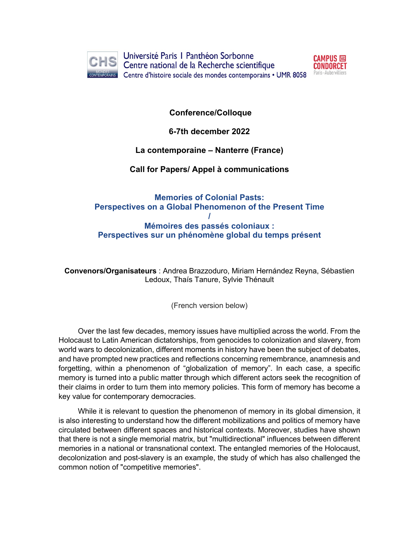

Université Paris I Panthéon Sorbonne Centre national de la Recherche scientifique ORAINS Centre d'histoire sociale des mondes contemporains • UMR 8058



**Conference/Colloque**

**6-7th december 2022**

# **La contemporaine – Nanterre (France)**

# **Call for Papers/ Appel à communications**

# **Memories of Colonial Pasts: Perspectives on a Global Phenomenon of the Present Time / Mémoires des passés coloniaux : Perspectives sur un phénomène global du temps présent**

**Convenors/Organisateurs** : Andrea Brazzoduro, Miriam Hernández Reyna, Sébastien Ledoux, Thaís Tanure, Sylvie Thénault

(French version below)

Over the last few decades, memory issues have multiplied across the world. From the Holocaust to Latin American dictatorships, from genocides to colonization and slavery, from world wars to decolonization, different moments in history have been the subject of debates, and have prompted new practices and reflections concerning remembrance, anamnesis and forgetting, within a phenomenon of "globalization of memory". In each case, a specific memory is turned into a public matter through which different actors seek the recognition of their claims in order to turn them into memory policies. This form of memory has become a key value for contemporary democracies.

While it is relevant to question the phenomenon of memory in its global dimension, it is also interesting to understand how the different mobilizations and politics of memory have circulated between different spaces and historical contexts. Moreover, studies have shown that there is not a single memorial matrix, but "multidirectional" influences between different memories in a national or transnational context. The entangled memories of the Holocaust, decolonization and post-slavery is an example, the study of which has also challenged the common notion of "competitive memories".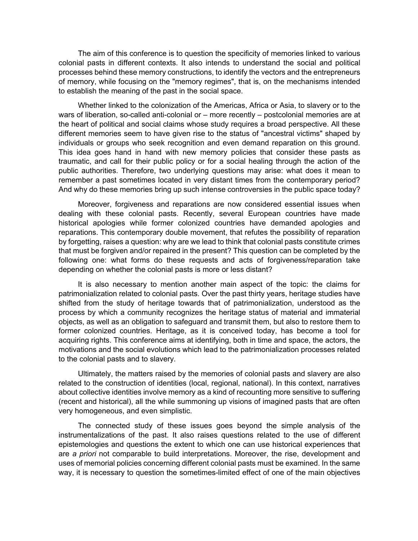The aim of this conference is to question the specificity of memories linked to various colonial pasts in different contexts. It also intends to understand the social and political processes behind these memory constructions, to identify the vectors and the entrepreneurs of memory, while focusing on the "memory regimes", that is, on the mechanisms intended to establish the meaning of the past in the social space.

Whether linked to the colonization of the Americas, Africa or Asia, to slavery or to the wars of liberation, so-called anti-colonial or – more recently – postcolonial memories are at the heart of political and social claims whose study requires a broad perspective. All these different memories seem to have given rise to the status of "ancestral victims" shaped by individuals or groups who seek recognition and even demand reparation on this ground. This idea goes hand in hand with new memory policies that consider these pasts as traumatic, and call for their public policy or for a social healing through the action of the public authorities. Therefore, two underlying questions may arise: what does it mean to remember a past sometimes located in very distant times from the contemporary period? And why do these memories bring up such intense controversies in the public space today?

Moreover, forgiveness and reparations are now considered essential issues when dealing with these colonial pasts. Recently, several European countries have made historical apologies while former colonized countries have demanded apologies and reparations. This contemporary double movement, that refutes the possibility of reparation by forgetting, raises a question: why are we lead to think that colonial pasts constitute crimes that must be forgiven and/or repaired in the present? This question can be completed by the following one: what forms do these requests and acts of forgiveness/reparation take depending on whether the colonial pasts is more or less distant?

It is also necessary to mention another main aspect of the topic: the claims for patrimonialization related to colonial pasts. Over the past thirty years, heritage studies have shifted from the study of heritage towards that of patrimonialization, understood as the process by which a community recognizes the heritage status of material and immaterial objects, as well as an obligation to safeguard and transmit them, but also to restore them to former colonized countries. Heritage, as it is conceived today, has become a tool for acquiring rights. This conference aims at identifying, both in time and space, the actors, the motivations and the social evolutions which lead to the patrimonialization processes related to the colonial pasts and to slavery.

Ultimately, the matters raised by the memories of colonial pasts and slavery are also related to the construction of identities (local, regional, national). In this context, narratives about collective identities involve memory as a kind of recounting more sensitive to suffering (recent and historical), all the while summoning up visions of imagined pasts that are often very homogeneous, and even simplistic.

The connected study of these issues goes beyond the simple analysis of the instrumentalizations of the past. It also raises questions related to the use of different epistemologies and questions the extent to which one can use historical experiences that are *a priori* not comparable to build interpretations. Moreover, the rise, development and uses of memorial policies concerning different colonial pasts must be examined. In the same way, it is necessary to question the sometimes-limited effect of one of the main objectives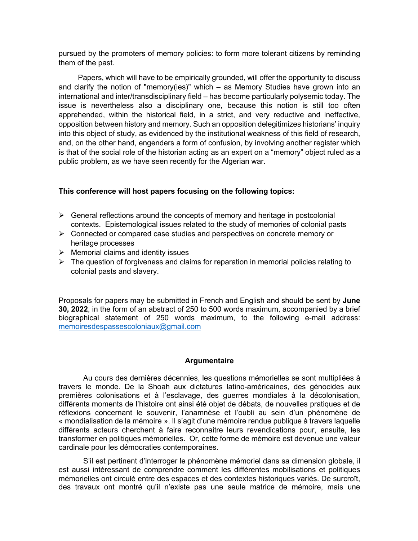pursued by the promoters of memory policies: to form more tolerant citizens by reminding them of the past.

Papers, which will have to be empirically grounded, will offer the opportunity to discuss and clarify the notion of "memory(ies)" which – as Memory Studies have grown into an international and inter/transdisciplinary field – has become particularly polysemic today. The issue is nevertheless also a disciplinary one, because this notion is still too often apprehended, within the historical field, in a strict, and very reductive and ineffective, opposition between history and memory. Such an opposition delegitimizes historians' inquiry into this object of study, as evidenced by the institutional weakness of this field of research, and, on the other hand, engenders a form of confusion, by involving another register which is that of the social role of the historian acting as an expert on a "memory" object ruled as a public problem, as we have seen recently for the Algerian war.

## **This conference will host papers focusing on the following topics:**

- $\triangleright$  General reflections around the concepts of memory and heritage in postcolonial contexts. Epistemological issues related to the study of memories of colonial pasts
- $\triangleright$  Connected or compared case studies and perspectives on concrete memory or heritage processes
- $\triangleright$  Memorial claims and identity issues
- $\triangleright$  The question of forgiveness and claims for reparation in memorial policies relating to colonial pasts and slavery.

Proposals for papers may be submitted in French and English and should be sent by **June 30, 2022**, in the form of an abstract of 250 to 500 words maximum, accompanied by a brief biographical statement of 250 words maximum, to the following e-mail address: memoiresdespassescoloniaux@gmail.com

## **Argumentaire**

Au cours des dernières décennies, les questions mémorielles se sont multipliées à travers le monde. De la Shoah aux dictatures latino-américaines, des génocides aux premières colonisations et à l'esclavage, des guerres mondiales à la décolonisation, différents moments de l'histoire ont ainsi été objet de débats, de nouvelles pratiques et de réflexions concernant le souvenir, l'anamnèse et l'oubli au sein d'un phénomène de « mondialisation de la mémoire ». Il s'agit d'une mémoire rendue publique à travers laquelle différents acteurs cherchent à faire reconnaitre leurs revendications pour, ensuite, les transformer en politiques mémorielles. Or, cette forme de mémoire est devenue une valeur cardinale pour les démocraties contemporaines.

S'il est pertinent d'interroger le phénomène mémoriel dans sa dimension globale, il est aussi intéressant de comprendre comment les différentes mobilisations et politiques mémorielles ont circulé entre des espaces et des contextes historiques variés. De surcroît, des travaux ont montré qu'il n'existe pas une seule matrice de mémoire, mais une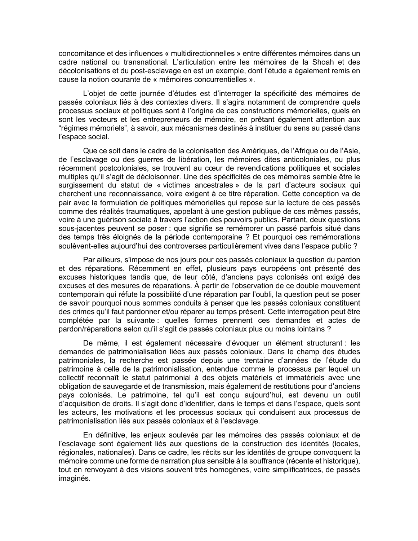concomitance et des influences « multidirectionnelles » entre différentes mémoires dans un cadre national ou transnational. L'articulation entre les mémoires de la Shoah et des décolonisations et du post-esclavage en est un exemple, dont l'étude a également remis en cause la notion courante de « mémoires concurrentielles ».

L'objet de cette journée d'études est d'interroger la spécificité des mémoires de passés coloniaux liés à des contextes divers. Il s'agira notamment de comprendre quels processus sociaux et politiques sont à l'origine de ces constructions mémorielles, quels en sont les vecteurs et les entrepreneurs de mémoire, en prêtant également attention aux "régimes mémoriels", à savoir, aux mécanismes destinés à instituer du sens au passé dans l'espace social.

Que ce soit dans le cadre de la colonisation des Amériques, de l'Afrique ou de l'Asie, de l'esclavage ou des guerres de libération, les mémoires dites anticoloniales, ou plus récemment postcoloniales, se trouvent au cœur de revendications politiques et sociales multiples qu'il s'agit de décloisonner. Une des spécificités de ces mémoires semble être le surgissement du statut de « victimes ancestrales » de la part d'acteurs sociaux qui cherchent une reconnaissance, voire exigent à ce titre réparation. Cette conception va de pair avec la formulation de politiques mémorielles qui repose sur la lecture de ces passés comme des réalités traumatiques, appelant à une gestion publique de ces mêmes passés, voire à une guérison sociale à travers l'action des pouvoirs publics. Partant, deux questions sous-jacentes peuvent se poser : que signifie se remémorer un passé parfois situé dans des temps très éloignés de la période contemporaine ? Et pourquoi ces remémorations soulèvent-elles aujourd'hui des controverses particulièrement vives dans l'espace public ?

Par ailleurs, s'impose de nos jours pour ces passés coloniaux la question du pardon et des réparations. Récemment en effet, plusieurs pays européens ont présenté des excuses historiques tandis que, de leur côté, d'anciens pays colonisés ont exigé des excuses et des mesures de réparations. À partir de l'observation de ce double mouvement contemporain qui réfute la possibilité d'une réparation par l'oubli, la question peut se poser de savoir pourquoi nous sommes conduits à penser que les passés coloniaux constituent des crimes qu'il faut pardonner et/ou réparer au temps présent. Cette interrogation peut être complétée par la suivante : quelles formes prennent ces demandes et actes de pardon/réparations selon qu'il s'agit de passés coloniaux plus ou moins lointains ?

De même, il est également nécessaire d'évoquer un élément structurant : les demandes de patrimonialisation liées aux passés coloniaux. Dans le champ des études patrimoniales, la recherche est passée depuis une trentaine d'années de l'étude du patrimoine à celle de la patrimonialisation, entendue comme le processus par lequel un collectif reconnaît le statut patrimonial à des objets matériels et immatériels avec une obligation de sauvegarde et de transmission, mais également de restitutions pour d'anciens pays colonisés. Le patrimoine, tel qu'il est conçu aujourd'hui, est devenu un outil d'acquisition de droits. Il s'agit donc d'identifier, dans le temps et dans l'espace, quels sont les acteurs, les motivations et les processus sociaux qui conduisent aux processus de patrimonialisation liés aux passés coloniaux et à l'esclavage.

En définitive, les enjeux soulevés par les mémoires des passés coloniaux et de l'esclavage sont également liés aux questions de la construction des identités (locales, régionales, nationales). Dans ce cadre, les récits sur les identités de groupe convoquent la mémoire comme une forme de narration plus sensible à la souffrance (récente et historique), tout en renvoyant à des visions souvent très homogènes, voire simplificatrices, de passés imaginés.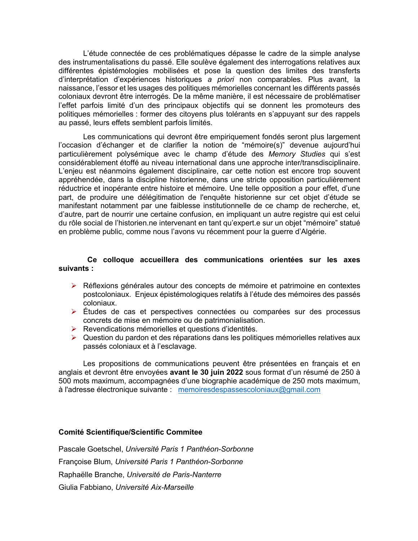L'étude connectée de ces problématiques dépasse le cadre de la simple analyse des instrumentalisations du passé. Elle soulève également des interrogations relatives aux différentes épistémologies mobilisées et pose la question des limites des transferts d'interprétation d'expériences historiques *a priori* non comparables. Plus avant, la naissance, l'essor et les usages des politiques mémorielles concernant les différents passés coloniaux devront être interrogés. De la même manière, il est nécessaire de problématiser l'effet parfois limité d'un des principaux objectifs qui se donnent les promoteurs des politiques mémorielles : former des citoyens plus tolérants en s'appuyant sur des rappels au passé, leurs effets semblent parfois limités.

Les communications qui devront être empiriquement fondés seront plus largement l'occasion d'échanger et de clarifier la notion de "mémoire(s)" devenue aujourd'hui particulièrement polysémique avec le champ d'étude des *Memory Studies* qui s'est considérablement étoffé au niveau international dans une approche inter/transdisciplinaire. L'enjeu est néanmoins également disciplinaire, car cette notion est encore trop souvent appréhendée, dans la discipline historienne, dans une stricte opposition particulièrement réductrice et inopérante entre histoire et mémoire. Une telle opposition a pour effet, d'une part, de produire une délégitimation de l'enquête historienne sur cet objet d'étude se manifestant notamment par une faiblesse institutionnelle de ce champ de recherche, et, d'autre, part de nourrir une certaine confusion, en impliquant un autre registre qui est celui du rôle social de l'historien.ne intervenant en tant qu'expert.e sur un objet "mémoire" statué en problème public, comme nous l'avons vu récemment pour la guerre d'Algérie.

#### **Ce colloque accueillera des communications orientées sur les axes suivants :**

- Ø Réflexions générales autour des concepts de mémoire et patrimoine en contextes postcoloniaux. Enjeux épistémologiques relatifs à l'étude des mémoires des passés coloniaux.
- Ø Études de cas et perspectives connectées ou comparées sur des processus concrets de mise en mémoire ou de patrimonialisation.
- Ø Revendications mémorielles et questions d'identités.
- $\triangleright$  Question du pardon et des réparations dans les politiques mémorielles relatives aux passés coloniaux et à l'esclavage.

Les propositions de communications peuvent être présentées en français et en anglais et devront être envoyées **avant le 30 juin 2022** sous format d'un résumé de 250 à 500 mots maximum, accompagnées d'une biographie académique de 250 mots maximum, à l'adresse électronique suivante : memoiresdespassescoloniaux@gmail.com

#### **Comité Scientifique/Scientific Commitee**

Pascale Goetschel, *Université Paris 1 Panthéon-Sorbonne* Françoise Blum, *Université Paris 1 Panthéon-Sorbonne* Raphaëlle Branche, *Université de Paris-Nanterre* Giulia Fabbiano, *Université Aix-Marseille*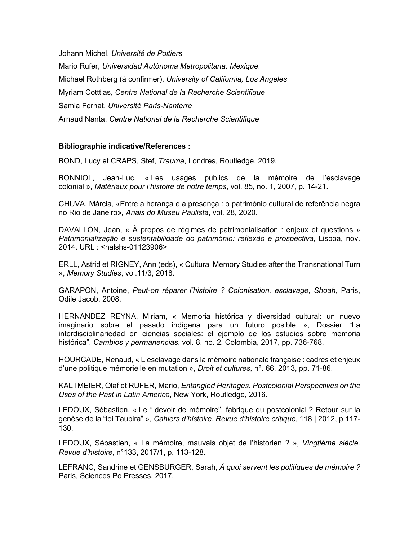Johann Michel, *Université de Poitiers* Mario Rufer, *Universidad Autónoma Metropolitana, Mexique*. Michael Rothberg (à confirmer), *University of California, Los Angeles*  Myriam Cotttias, *Centre National de la Recherche Scientifique* Samia Ferhat, *Université Paris-Nanterre* Arnaud Nanta, *Centre National de la Recherche Scientifique*

### **Bibliographie indicative/References :**

BOND, Lucy et CRAPS, Stef, *Trauma*, Londres, Routledge, 2019.

BONNIOL, Jean-Luc, « Les usages publics de la mémoire de l'esclavage colonial », *Matériaux pour l'histoire de notre temps*, vol. 85, no. 1, 2007, p. 14-21.

CHUVA, Márcia, «Entre a herança e a presença : o patrimônio cultural de referência negra no Rio de Janeiro»*, Anais do Museu Paulista*, vol. 28, 2020.

DAVALLON, Jean, « À propos de régimes de patrimonialisation : enjeux et questions » *Patrimonialização e sustentabilidade do património: reflexão e prospectiva,* Lisboa, nov. 2014. URL : <halshs-01123906>

ERLL, Astrid et RIGNEY, Ann (eds), « Cultural Memory Studies after the Transnational Turn », *Memory Studies*, vol.11/3, 2018.

GARAPON, Antoine, *Peut-on réparer l'histoire ? Colonisation, esclavage, Shoah*, Paris, Odile Jacob, 2008.

HERNANDEZ REYNA, Miriam, « Memoria histórica y diversidad cultural: un nuevo imaginario sobre el pasado indígena para un futuro posible », Dossier "La interdisciplinariedad en ciencias sociales: el ejemplo de los estudios sobre memoria histórica", *Cambios y permanencias*, vol. 8, no. 2, Colombia, 2017, pp. 736-768.

HOURCADE, Renaud, « L'esclavage dans la mémoire nationale française : cadres et enjeux d'une politique mémorielle en mutation », *Droit et cultures*, n°. 66, 2013, pp. 71-86.

KALTMEIER, Olaf et RUFER, Mario, *Entangled Heritages. Postcolonial Perspectives on the Uses of the Past in Latin America*, New York, Routledge, 2016.

LEDOUX, Sébastien, « Le " devoir de mémoire", fabrique du postcolonial ? Retour sur la genèse de la "loi Taubira" », *Cahiers d'histoire. Revue d'histoire critique*, 118 | 2012, p.117- 130.

LEDOUX, Sébastien, « La mémoire, mauvais objet de l'historien ? », *Vingtième siècle. Revue d'histoire*, n°133, 2017/1, p. 113-128.

LEFRANC, Sandrine et GENSBURGER, Sarah, *À quoi servent les politiques de mémoire ?*  Paris, Sciences Po Presses, 2017.